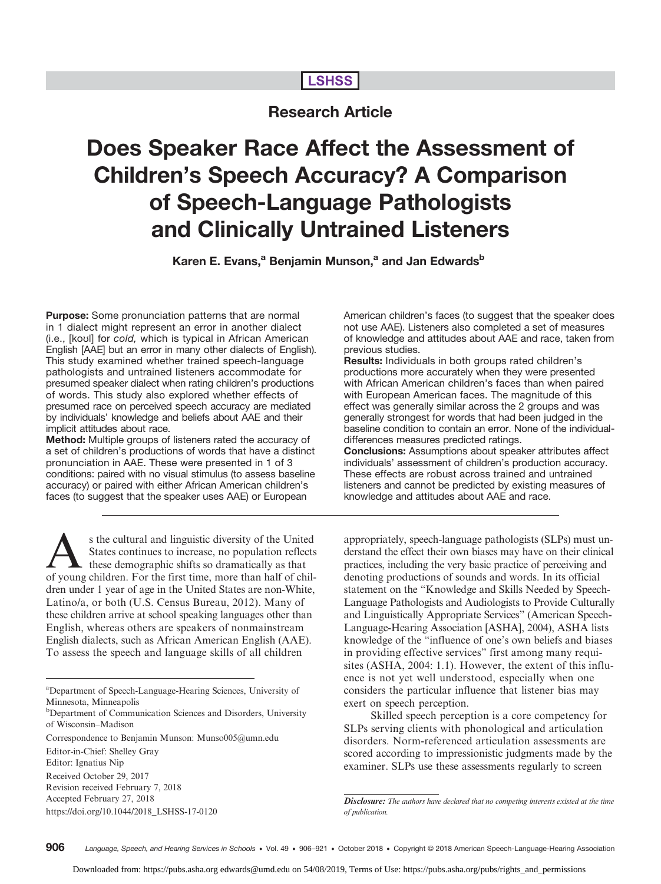## **LSHSS**

# Research Article

# Does Speaker Race Affect the Assessment of Children's Speech Accuracy? A Comparison of Speech-Language Pathologists and Clinically Untrained Listeners

Karen E. Evans,<sup>a</sup> Benjamin Munson,<sup>a</sup> and Jan Edwards<sup>b</sup>

Purpose: Some pronunciation patterns that are normal in 1 dialect might represent an error in another dialect (i.e., [koʊl] for cold, which is typical in African American English [AAE] but an error in many other dialects of English). This study examined whether trained speech-language pathologists and untrained listeners accommodate for presumed speaker dialect when rating children's productions of words. This study also explored whether effects of presumed race on perceived speech accuracy are mediated by individuals' knowledge and beliefs about AAE and their implicit attitudes about race.

Method: Multiple groups of listeners rated the accuracy of a set of children's productions of words that have a distinct pronunciation in AAE. These were presented in 1 of 3 conditions: paired with no visual stimulus (to assess baseline accuracy) or paired with either African American children's faces (to suggest that the speaker uses AAE) or European

s the cultural and linguistic diversity of the United<br>States continues to increase, no population reflects<br>these demographic shifts so dramatically as that<br>of young children. For the first time, more than half of child States continues to increase, no population reflects these demographic shifts so dramatically as that of young children. For the first time, more than half of children under 1 year of age in the United States are non-White, Latino/a, or both (U.S. Census Bureau, 2012). Many of these children arrive at school speaking languages other than English, whereas others are speakers of nonmainstream English dialects, such as African American English (AAE). To assess the speech and language skills of all children

Correspondence to Benjamin Munson: Munso005@umn.edu Editor-in-Chief: Shelley Gray

Editor: Ignatius Nip

Revision received February 7, 2018

Accepted February 27, 2018

[https://doi.org/10.1044/2018\\_LSHSS-17-0120](https://doi.org/10.1044/2018_LSHSS-17-0120)

American children's faces (to suggest that the speaker does not use AAE). Listeners also completed a set of measures of knowledge and attitudes about AAE and race, taken from previous studies.

Results: Individuals in both groups rated children's productions more accurately when they were presented with African American children's faces than when paired with European American faces. The magnitude of this effect was generally similar across the 2 groups and was generally strongest for words that had been judged in the baseline condition to contain an error. None of the individualdifferences measures predicted ratings.

Conclusions: Assumptions about speaker attributes affect individuals' assessment of children's production accuracy. These effects are robust across trained and untrained listeners and cannot be predicted by existing measures of knowledge and attitudes about AAE and race.

appropriately, speech-language pathologists (SLPs) must understand the effect their own biases may have on their clinical practices, including the very basic practice of perceiving and denoting productions of sounds and words. In its official statement on the "Knowledge and Skills Needed by Speech-Language Pathologists and Audiologists to Provide Culturally and Linguistically Appropriate Services" (American Speech-Language-Hearing Association [ASHA], 2004), ASHA lists knowledge of the "influence of one's own beliefs and biases in providing effective services" first among many requisites (ASHA, 2004: 1.1). However, the extent of this influence is not yet well understood, especially when one considers the particular influence that listener bias may exert on speech perception.

Skilled speech perception is a core competency for SLPs serving clients with phonological and articulation disorders. Norm-referenced articulation assessments are scored according to impressionistic judgments made by the examiner. SLPs use these assessments regularly to screen

<sup>&</sup>lt;sup>a</sup>Department of Speech-Language-Hearing Sciences, University of Minnesota, Minneapolis

<sup>&</sup>lt;sup>b</sup>Department of Communication Sciences and Disorders, University of Wisconsin–Madison

Received October 29, 2017

Disclosure: The authors have declared that no competing interests existed at the time of publication.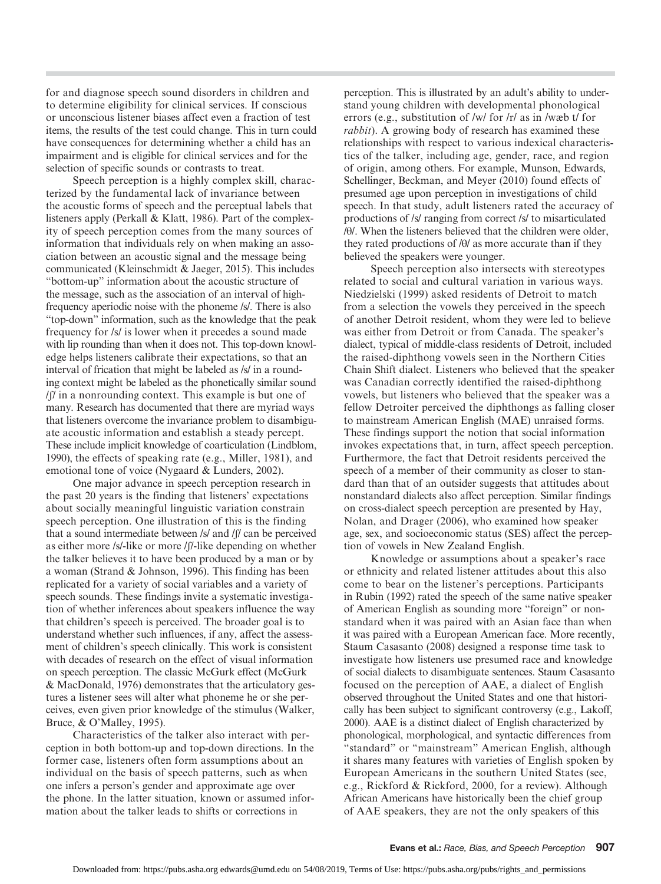for and diagnose speech sound disorders in children and to determine eligibility for clinical services. If conscious or unconscious listener biases affect even a fraction of test items, the results of the test could change. This in turn could have consequences for determining whether a child has an impairment and is eligible for clinical services and for the selection of specific sounds or contrasts to treat.

Speech perception is a highly complex skill, characterized by the fundamental lack of invariance between the acoustic forms of speech and the perceptual labels that listeners apply (Perkall & Klatt, 1986). Part of the complexity of speech perception comes from the many sources of information that individuals rely on when making an association between an acoustic signal and the message being communicated (Kleinschmidt & Jaeger, 2015). This includes "bottom-up" information about the acoustic structure of the message, such as the association of an interval of highfrequency aperiodic noise with the phoneme /s/. There is also "top-down" information, such as the knowledge that the peak frequency for /s/ is lower when it precedes a sound made with lip rounding than when it does not. This top-down knowledge helps listeners calibrate their expectations, so that an interval of frication that might be labeled as /s/ in a rounding context might be labeled as the phonetically similar sound /ʃ/ in a nonrounding context. This example is but one of many. Research has documented that there are myriad ways that listeners overcome the invariance problem to disambiguate acoustic information and establish a steady percept. These include implicit knowledge of coarticulation (Lindblom, 1990), the effects of speaking rate (e.g., Miller, 1981), and emotional tone of voice (Nygaard & Lunders, 2002).

One major advance in speech perception research in the past 20 years is the finding that listeners' expectations about socially meaningful linguistic variation constrain speech perception. One illustration of this is the finding that a sound intermediate between /s/ and /ʃ/ can be perceived as either more /s/-like or more /ʃ/-like depending on whether the talker believes it to have been produced by a man or by a woman (Strand & Johnson, 1996). This finding has been replicated for a variety of social variables and a variety of speech sounds. These findings invite a systematic investigation of whether inferences about speakers influence the way that children's speech is perceived. The broader goal is to understand whether such influences, if any, affect the assessment of children's speech clinically. This work is consistent with decades of research on the effect of visual information on speech perception. The classic McGurk effect (McGurk & MacDonald, 1976) demonstrates that the articulatory gestures a listener sees will alter what phoneme he or she perceives, even given prior knowledge of the stimulus (Walker, Bruce, & O'Malley, 1995).

Characteristics of the talker also interact with perception in both bottom-up and top-down directions. In the former case, listeners often form assumptions about an individual on the basis of speech patterns, such as when one infers a person's gender and approximate age over the phone. In the latter situation, known or assumed information about the talker leads to shifts or corrections in

perception. This is illustrated by an adult's ability to understand young children with developmental phonological errors (e.g., substitution of /w/ for /r/ as in /wæb t/ for rabbit). A growing body of research has examined these relationships with respect to various indexical characteristics of the talker, including age, gender, race, and region of origin, among others. For example, Munson, Edwards, Schellinger, Beckman, and Meyer (2010) found effects of presumed age upon perception in investigations of child speech. In that study, adult listeners rated the accuracy of productions of /s/ ranging from correct /s/ to misarticulated /θ/. When the listeners believed that the children were older, they rated productions of /θ/ as more accurate than if they believed the speakers were younger.

Speech perception also intersects with stereotypes related to social and cultural variation in various ways. Niedzielski (1999) asked residents of Detroit to match from a selection the vowels they perceived in the speech of another Detroit resident, whom they were led to believe was either from Detroit or from Canada. The speaker's dialect, typical of middle-class residents of Detroit, included the raised-diphthong vowels seen in the Northern Cities Chain Shift dialect. Listeners who believed that the speaker was Canadian correctly identified the raised-diphthong vowels, but listeners who believed that the speaker was a fellow Detroiter perceived the diphthongs as falling closer to mainstream American English (MAE) unraised forms. These findings support the notion that social information invokes expectations that, in turn, affect speech perception. Furthermore, the fact that Detroit residents perceived the speech of a member of their community as closer to standard than that of an outsider suggests that attitudes about nonstandard dialects also affect perception. Similar findings on cross-dialect speech perception are presented by Hay, Nolan, and Drager (2006), who examined how speaker age, sex, and socioeconomic status (SES) affect the perception of vowels in New Zealand English.

Knowledge or assumptions about a speaker's race or ethnicity and related listener attitudes about this also come to bear on the listener's perceptions. Participants in Rubin (1992) rated the speech of the same native speaker of American English as sounding more "foreign" or nonstandard when it was paired with an Asian face than when it was paired with a European American face. More recently, Staum Casasanto (2008) designed a response time task to investigate how listeners use presumed race and knowledge of social dialects to disambiguate sentences. Staum Casasanto focused on the perception of AAE, a dialect of English observed throughout the United States and one that historically has been subject to significant controversy (e.g., Lakoff, 2000). AAE is a distinct dialect of English characterized by phonological, morphological, and syntactic differences from "standard" or "mainstream" American English, although it shares many features with varieties of English spoken by European Americans in the southern United States (see, e.g., Rickford & Rickford, 2000, for a review). Although African Americans have historically been the chief group of AAE speakers, they are not the only speakers of this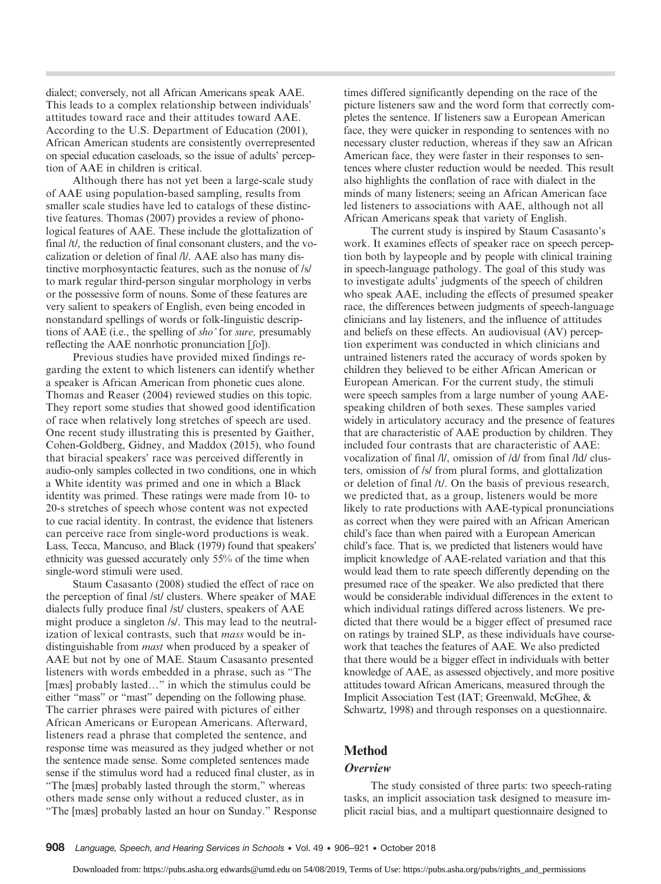dialect; conversely, not all African Americans speak AAE. This leads to a complex relationship between individuals' attitudes toward race and their attitudes toward AAE. According to the U.S. Department of Education (2001), African American students are consistently overrepresented on special education caseloads, so the issue of adults' perception of AAE in children is critical.

Although there has not yet been a large-scale study of AAE using population-based sampling, results from smaller scale studies have led to catalogs of these distinctive features. Thomas (2007) provides a review of phonological features of AAE. These include the glottalization of final /t/, the reduction of final consonant clusters, and the vocalization or deletion of final /l/. AAE also has many distinctive morphosyntactic features, such as the nonuse of /s/ to mark regular third-person singular morphology in verbs or the possessive form of nouns. Some of these features are very salient to speakers of English, even being encoded in nonstandard spellings of words or folk-linguistic descriptions of AAE (i.e., the spelling of sho' for sure, presumably reflecting the AAE nonrhotic pronunciation [ʃo]).

Previous studies have provided mixed findings regarding the extent to which listeners can identify whether a speaker is African American from phonetic cues alone. Thomas and Reaser (2004) reviewed studies on this topic. They report some studies that showed good identification of race when relatively long stretches of speech are used. One recent study illustrating this is presented by Gaither, Cohen-Goldberg, Gidney, and Maddox (2015), who found that biracial speakers' race was perceived differently in audio-only samples collected in two conditions, one in which a White identity was primed and one in which a Black identity was primed. These ratings were made from 10- to 20-s stretches of speech whose content was not expected to cue racial identity. In contrast, the evidence that listeners can perceive race from single-word productions is weak. Lass, Tecca, Mancuso, and Black (1979) found that speakers' ethnicity was guessed accurately only 55% of the time when single-word stimuli were used.

Staum Casasanto (2008) studied the effect of race on the perception of final /st/ clusters. Where speaker of MAE dialects fully produce final /st/ clusters, speakers of AAE might produce a singleton /s/. This may lead to the neutralization of lexical contrasts, such that mass would be indistinguishable from *mast* when produced by a speaker of AAE but not by one of MAE. Staum Casasanto presented listeners with words embedded in a phrase, such as "The [mæs] probably lasted..." in which the stimulus could be either "mass" or "mast" depending on the following phase. The carrier phrases were paired with pictures of either African Americans or European Americans. Afterward, listeners read a phrase that completed the sentence, and response time was measured as they judged whether or not the sentence made sense. Some completed sentences made sense if the stimulus word had a reduced final cluster, as in "The [mæs] probably lasted through the storm," whereas others made sense only without a reduced cluster, as in "The [mæs] probably lasted an hour on Sunday." Response times differed significantly depending on the race of the picture listeners saw and the word form that correctly completes the sentence. If listeners saw a European American face, they were quicker in responding to sentences with no necessary cluster reduction, whereas if they saw an African American face, they were faster in their responses to sentences where cluster reduction would be needed. This result also highlights the conflation of race with dialect in the minds of many listeners; seeing an African American face led listeners to associations with AAE, although not all African Americans speak that variety of English.

The current study is inspired by Staum Casasanto's work. It examines effects of speaker race on speech perception both by laypeople and by people with clinical training in speech-language pathology. The goal of this study was to investigate adults' judgments of the speech of children who speak AAE, including the effects of presumed speaker race, the differences between judgments of speech-language clinicians and lay listeners, and the influence of attitudes and beliefs on these effects. An audiovisual (AV) perception experiment was conducted in which clinicians and untrained listeners rated the accuracy of words spoken by children they believed to be either African American or European American. For the current study, the stimuli were speech samples from a large number of young AAEspeaking children of both sexes. These samples varied widely in articulatory accuracy and the presence of features that are characteristic of AAE production by children. They included four contrasts that are characteristic of AAE: vocalization of final /l/, omission of /d/ from final /ld/ clusters, omission of /s/ from plural forms, and glottalization or deletion of final /t/. On the basis of previous research, we predicted that, as a group, listeners would be more likely to rate productions with AAE-typical pronunciations as correct when they were paired with an African American child's face than when paired with a European American child's face. That is, we predicted that listeners would have implicit knowledge of AAE-related variation and that this would lead them to rate speech differently depending on the presumed race of the speaker. We also predicted that there would be considerable individual differences in the extent to which individual ratings differed across listeners. We predicted that there would be a bigger effect of presumed race on ratings by trained SLP, as these individuals have coursework that teaches the features of AAE. We also predicted that there would be a bigger effect in individuals with better knowledge of AAE, as assessed objectively, and more positive attitudes toward African Americans, measured through the Implicit Association Test (IAT; Greenwald, McGhee, & Schwartz, 1998) and through responses on a questionnaire.

## Method

### Overview

The study consisted of three parts: two speech-rating tasks, an implicit association task designed to measure implicit racial bias, and a multipart questionnaire designed to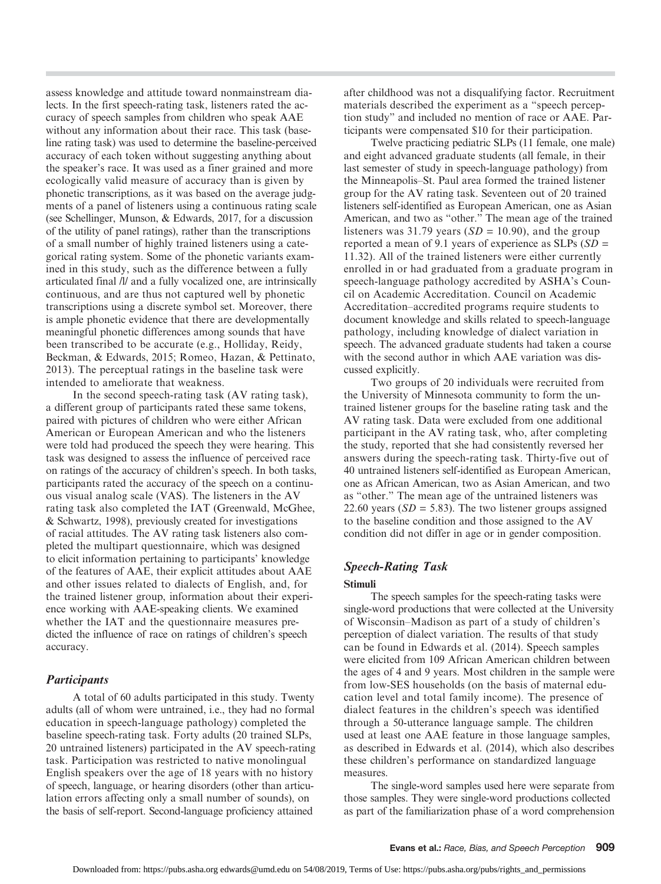assess knowledge and attitude toward nonmainstream dialects. In the first speech-rating task, listeners rated the accuracy of speech samples from children who speak AAE without any information about their race. This task (baseline rating task) was used to determine the baseline-perceived accuracy of each token without suggesting anything about the speaker's race. It was used as a finer grained and more ecologically valid measure of accuracy than is given by phonetic transcriptions, as it was based on the average judgments of a panel of listeners using a continuous rating scale (see Schellinger, Munson, & Edwards, 2017, for a discussion of the utility of panel ratings), rather than the transcriptions of a small number of highly trained listeners using a categorical rating system. Some of the phonetic variants examined in this study, such as the difference between a fully articulated final /l/ and a fully vocalized one, are intrinsically continuous, and are thus not captured well by phonetic transcriptions using a discrete symbol set. Moreover, there is ample phonetic evidence that there are developmentally meaningful phonetic differences among sounds that have been transcribed to be accurate (e.g., Holliday, Reidy, Beckman, & Edwards, 2015; Romeo, Hazan, & Pettinato, 2013). The perceptual ratings in the baseline task were intended to ameliorate that weakness.

In the second speech-rating task (AV rating task), a different group of participants rated these same tokens, paired with pictures of children who were either African American or European American and who the listeners were told had produced the speech they were hearing. This task was designed to assess the influence of perceived race on ratings of the accuracy of children's speech. In both tasks, participants rated the accuracy of the speech on a continuous visual analog scale (VAS). The listeners in the AV rating task also completed the IAT (Greenwald, McGhee, & Schwartz, 1998), previously created for investigations of racial attitudes. The AV rating task listeners also completed the multipart questionnaire, which was designed to elicit information pertaining to participants' knowledge of the features of AAE, their explicit attitudes about AAE and other issues related to dialects of English, and, for the trained listener group, information about their experience working with AAE-speaking clients. We examined whether the IAT and the questionnaire measures predicted the influence of race on ratings of children's speech accuracy.

### **Participants**

A total of 60 adults participated in this study. Twenty adults (all of whom were untrained, i.e., they had no formal education in speech-language pathology) completed the baseline speech-rating task. Forty adults (20 trained SLPs, 20 untrained listeners) participated in the AV speech-rating task. Participation was restricted to native monolingual English speakers over the age of 18 years with no history of speech, language, or hearing disorders (other than articulation errors affecting only a small number of sounds), on the basis of self-report. Second-language proficiency attained

after childhood was not a disqualifying factor. Recruitment materials described the experiment as a "speech perception study" and included no mention of race or AAE. Participants were compensated \$10 for their participation.

Twelve practicing pediatric SLPs (11 female, one male) and eight advanced graduate students (all female, in their last semester of study in speech-language pathology) from the Minneapolis–St. Paul area formed the trained listener group for the AV rating task. Seventeen out of 20 trained listeners self-identified as European American, one as Asian American, and two as "other." The mean age of the trained listeners was 31.79 years ( $SD = 10.90$ ), and the group reported a mean of 9.1 years of experience as  $SLPs$  ( $SD =$ 11.32). All of the trained listeners were either currently enrolled in or had graduated from a graduate program in speech-language pathology accredited by ASHA's Council on Academic Accreditation. Council on Academic Accreditation–accredited programs require students to document knowledge and skills related to speech-language pathology, including knowledge of dialect variation in speech. The advanced graduate students had taken a course with the second author in which AAE variation was discussed explicitly.

Two groups of 20 individuals were recruited from the University of Minnesota community to form the untrained listener groups for the baseline rating task and the AV rating task. Data were excluded from one additional participant in the AV rating task, who, after completing the study, reported that she had consistently reversed her answers during the speech-rating task. Thirty-five out of 40 untrained listeners self-identified as European American, one as African American, two as Asian American, and two as "other." The mean age of the untrained listeners was 22.60 years ( $SD = 5.83$ ). The two listener groups assigned to the baseline condition and those assigned to the AV condition did not differ in age or in gender composition.

## Speech-Rating Task

#### Stimuli

The speech samples for the speech-rating tasks were single-word productions that were collected at the University of Wisconsin–Madison as part of a study of children's perception of dialect variation. The results of that study can be found in Edwards et al. (2014). Speech samples were elicited from 109 African American children between the ages of 4 and 9 years. Most children in the sample were from low-SES households (on the basis of maternal education level and total family income). The presence of dialect features in the children's speech was identified through a 50-utterance language sample. The children used at least one AAE feature in those language samples, as described in Edwards et al. (2014), which also describes these children's performance on standardized language measures.

The single-word samples used here were separate from those samples. They were single-word productions collected as part of the familiarization phase of a word comprehension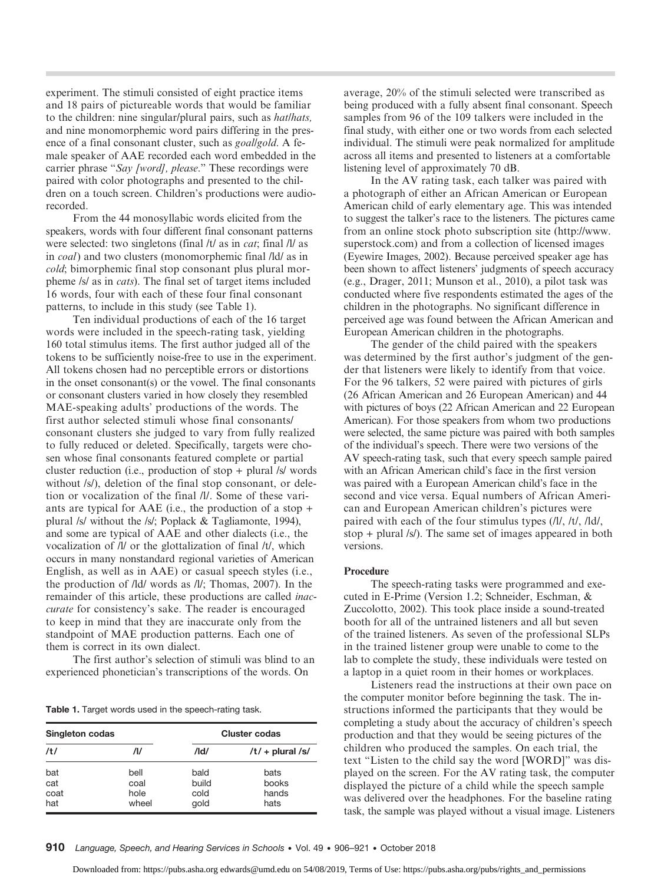experiment. The stimuli consisted of eight practice items and 18 pairs of pictureable words that would be familiar to the children: nine singular/plural pairs, such as hat/hats, and nine monomorphemic word pairs differing in the presence of a final consonant cluster, such as *goallgold*. A female speaker of AAE recorded each word embedded in the carrier phrase "Say [word], please." These recordings were paired with color photographs and presented to the children on a touch screen. Children's productions were audiorecorded.

From the 44 monosyllabic words elicited from the speakers, words with four different final consonant patterns were selected: two singletons (final /t/ as in *cat*; final /l/ as in coal) and two clusters (monomorphemic final /ld/ as in cold; bimorphemic final stop consonant plus plural morpheme /s/ as in cats). The final set of target items included 16 words, four with each of these four final consonant patterns, to include in this study (see Table 1).

Ten individual productions of each of the 16 target words were included in the speech-rating task, yielding 160 total stimulus items. The first author judged all of the tokens to be sufficiently noise-free to use in the experiment. All tokens chosen had no perceptible errors or distortions in the onset consonant(s) or the vowel. The final consonants or consonant clusters varied in how closely they resembled MAE-speaking adults' productions of the words. The first author selected stimuli whose final consonants/ consonant clusters she judged to vary from fully realized to fully reduced or deleted. Specifically, targets were chosen whose final consonants featured complete or partial cluster reduction (i.e., production of stop + plural /s/ words without /s/), deletion of the final stop consonant, or deletion or vocalization of the final /l/. Some of these variants are typical for AAE (i.e., the production of a stop + plural /s/ without the /s/; Poplack & Tagliamonte, 1994), and some are typical of AAE and other dialects (i.e., the vocalization of /l/ or the glottalization of final /t/, which occurs in many nonstandard regional varieties of American English, as well as in AAE) or casual speech styles (i.e., the production of /ld/ words as /l/; Thomas, 2007). In the remainder of this article, these productions are called inaccurate for consistency's sake. The reader is encouraged to keep in mind that they are inaccurate only from the standpoint of MAE production patterns. Each one of them is correct in its own dialect.

The first author's selection of stimuli was blind to an experienced phonetician's transcriptions of the words. On

Table 1. Target words used in the speech-rating task.

| Singleton codas |       | <b>Cluster codas</b> |                   |  |  |
|-----------------|-------|----------------------|-------------------|--|--|
| /t/             |       | /ld/                 | $/t$ + plural /s/ |  |  |
| bat             | bell  | bald                 | bats              |  |  |
| cat             | coal  | build                | books             |  |  |
| coat            | hole  | cold                 | hands             |  |  |
| hat             | wheel | gold                 | hats              |  |  |

average, 20% of the stimuli selected were transcribed as being produced with a fully absent final consonant. Speech samples from 96 of the 109 talkers were included in the final study, with either one or two words from each selected individual. The stimuli were peak normalized for amplitude across all items and presented to listeners at a comfortable listening level of approximately 70 dB.

In the AV rating task, each talker was paired with a photograph of either an African American or European American child of early elementary age. This was intended to suggest the talker's race to the listeners. The pictures came from an online stock photo subscription site [\(http://www.](http://www.superstock.com) [superstock.com\)](http://www.superstock.com) and from a collection of licensed images (Eyewire Images, 2002). Because perceived speaker age has been shown to affect listeners' judgments of speech accuracy (e.g., Drager, 2011; Munson et al., 2010), a pilot task was conducted where five respondents estimated the ages of the children in the photographs. No significant difference in perceived age was found between the African American and European American children in the photographs.

The gender of the child paired with the speakers was determined by the first author's judgment of the gender that listeners were likely to identify from that voice. For the 96 talkers, 52 were paired with pictures of girls (26 African American and 26 European American) and 44 with pictures of boys (22 African American and 22 European American). For those speakers from whom two productions were selected, the same picture was paired with both samples of the individual's speech. There were two versions of the AV speech-rating task, such that every speech sample paired with an African American child's face in the first version was paired with a European American child's face in the second and vice versa. Equal numbers of African American and European American children's pictures were paired with each of the four stimulus types (/l/, /t/, /ld/, stop + plural /s/). The same set of images appeared in both versions.

#### Procedure

The speech-rating tasks were programmed and executed in E-Prime (Version 1.2; Schneider, Eschman, & Zuccolotto, 2002). This took place inside a sound-treated booth for all of the untrained listeners and all but seven of the trained listeners. As seven of the professional SLPs in the trained listener group were unable to come to the lab to complete the study, these individuals were tested on a laptop in a quiet room in their homes or workplaces.

Listeners read the instructions at their own pace on the computer monitor before beginning the task. The instructions informed the participants that they would be completing a study about the accuracy of children's speech production and that they would be seeing pictures of the children who produced the samples. On each trial, the text "Listen to the child say the word [WORD]" was displayed on the screen. For the AV rating task, the computer displayed the picture of a child while the speech sample was delivered over the headphones. For the baseline rating task, the sample was played without a visual image. Listeners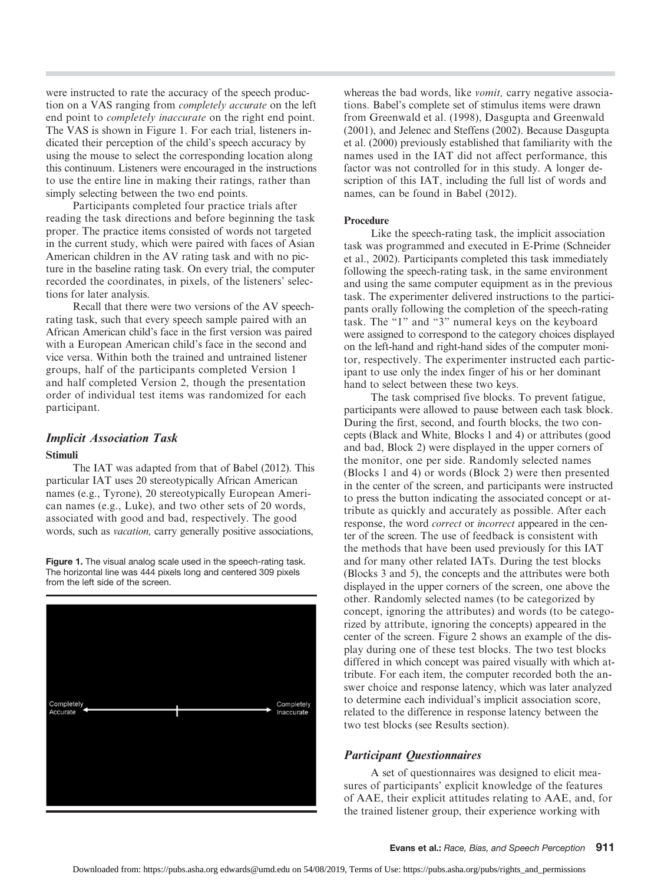were instructed to rate the accuracy of the speech production on a VAS ranging from completely accurate on the left end point to *completely inaccurate* on the right end point. The VAS is shown in Figure 1. For each trial, listeners indicated their perception of the child's speech accuracy by using the mouse to select the corresponding location along this continuum. Listeners were encouraged in the instructions to use the entire line in making their ratings, rather than simply selecting between the two end points.

Participants completed four practice trials after reading the task directions and before beginning the task proper. The practice items consisted of words not targeted in the current study, which were paired with faces of Asian American children in the AV rating task and with no picture in the baseline rating task. On every trial, the computer recorded the coordinates, in pixels, of the listeners' selections for later analysis.

Recall that there were two versions of the AV speechrating task, such that every speech sample paired with an African American child's face in the first version was paired with a European American child's face in the second and vice versa. Within both the trained and untrained listener groups, half of the participants completed Version 1 and half completed Version 2, though the presentation order of individual test items was randomized for each participant.

## Implicit Association Task

#### Stimuli

The IAT was adapted from that of Babel (2012). This particular IAT uses 20 stereotypically African American names (e.g., Tyrone), 20 stereotypically European American names (e.g., Luke), and two other sets of 20 words, associated with good and bad, respectively. The good words, such as vacation, carry generally positive associations,

Figure 1. The visual analog scale used in the speech-rating task. The horizontal line was 444 pixels long and centered 309 pixels from the left side of the screen.



whereas the bad words, like *vomit*, carry negative associations. Babel's complete set of stimulus items were drawn from Greenwald et al. (1998), Dasgupta and Greenwald (2001), and Jelenec and Steffens (2002). Because Dasgupta et al. (2000) previously established that familiarity with the names used in the IAT did not affect performance, this factor was not controlled for in this study. A longer description of this IAT, including the full list of words and names, can be found in Babel (2012).

#### Procedure

Like the speech-rating task, the implicit association task was programmed and executed in E-Prime (Schneider et al., 2002). Participants completed this task immediately following the speech-rating task, in the same environment and using the same computer equipment as in the previous task. The experimenter delivered instructions to the participants orally following the completion of the speech-rating task. The "1" and "3" numeral keys on the keyboard were assigned to correspond to the category choices displayed on the left-hand and right-hand sides of the computer monitor, respectively. The experimenter instructed each participant to use only the index finger of his or her dominant hand to select between these two keys.

The task comprised five blocks. To prevent fatigue, participants were allowed to pause between each task block. During the first, second, and fourth blocks, the two concepts (Black and White, Blocks 1 and 4) or attributes (good and bad, Block 2) were displayed in the upper corners of the monitor, one per side. Randomly selected names (Blocks 1 and 4) or words (Block 2) were then presented in the center of the screen, and participants were instructed to press the button indicating the associated concept or attribute as quickly and accurately as possible. After each response, the word correct or incorrect appeared in the center of the screen. The use of feedback is consistent with the methods that have been used previously for this IAT and for many other related IATs. During the test blocks (Blocks 3 and 5), the concepts and the attributes were both displayed in the upper corners of the screen, one above the other. Randomly selected names (to be categorized by concept, ignoring the attributes) and words (to be categorized by attribute, ignoring the concepts) appeared in the center of the screen. Figure 2 shows an example of the display during one of these test blocks. The two test blocks differed in which concept was paired visually with which attribute. For each item, the computer recorded both the answer choice and response latency, which was later analyzed to determine each individual's implicit association score, related to the difference in response latency between the two test blocks (see Results section).

### Participant Questionnaires

A set of questionnaires was designed to elicit measures of participants' explicit knowledge of the features of AAE, their explicit attitudes relating to AAE, and, for the trained listener group, their experience working with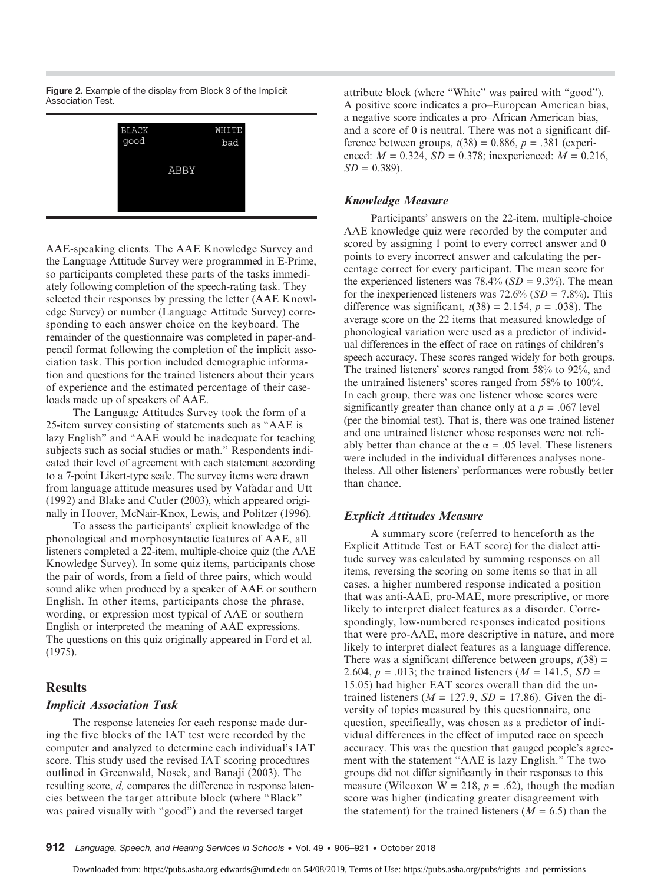Figure 2. Example of the display from Block 3 of the Implicit Association Test.



AAE-speaking clients. The AAE Knowledge Survey and the Language Attitude Survey were programmed in E-Prime, so participants completed these parts of the tasks immediately following completion of the speech-rating task. They selected their responses by pressing the letter (AAE Knowledge Survey) or number (Language Attitude Survey) corresponding to each answer choice on the keyboard. The remainder of the questionnaire was completed in paper-andpencil format following the completion of the implicit association task. This portion included demographic information and questions for the trained listeners about their years of experience and the estimated percentage of their caseloads made up of speakers of AAE.

The Language Attitudes Survey took the form of a 25-item survey consisting of statements such as "AAE is lazy English" and "AAE would be inadequate for teaching subjects such as social studies or math." Respondents indicated their level of agreement with each statement according to a 7-point Likert-type scale. The survey items were drawn from language attitude measures used by Vafadar and Utt (1992) and Blake and Cutler (2003), which appeared originally in Hoover, McNair-Knox, Lewis, and Politzer (1996).

To assess the participants' explicit knowledge of the phonological and morphosyntactic features of AAE, all listeners completed a 22-item, multiple-choice quiz (the AAE Knowledge Survey). In some quiz items, participants chose the pair of words, from a field of three pairs, which would sound alike when produced by a speaker of AAE or southern English. In other items, participants chose the phrase, wording, or expression most typical of AAE or southern English or interpreted the meaning of AAE expressions. The questions on this quiz originally appeared in Ford et al. (1975).

## Results

### Implicit Association Task

The response latencies for each response made during the five blocks of the IAT test were recorded by the computer and analyzed to determine each individual's IAT score. This study used the revised IAT scoring procedures outlined in Greenwald, Nosek, and Banaji (2003). The resulting score, d, compares the difference in response latencies between the target attribute block (where "Black" was paired visually with "good") and the reversed target

attribute block (where "White" was paired with "good"). A positive score indicates a pro–European American bias, a negative score indicates a pro–African American bias, and a score of 0 is neutral. There was not a significant difference between groups,  $t(38) = 0.886$ ,  $p = .381$  (experienced:  $M = 0.324$ ,  $SD = 0.378$ ; inexperienced:  $M = 0.216$ ,  $SD = 0.389$ .

## Knowledge Measure

Participants' answers on the 22-item, multiple-choice AAE knowledge quiz were recorded by the computer and scored by assigning 1 point to every correct answer and 0 points to every incorrect answer and calculating the percentage correct for every participant. The mean score for the experienced listeners was  $78.4\%$  (SD = 9.3%). The mean for the inexperienced listeners was  $72.6\%$  (SD = 7.8%). This difference was significant,  $t(38) = 2.154$ ,  $p = .038$ ). The average score on the 22 items that measured knowledge of phonological variation were used as a predictor of individual differences in the effect of race on ratings of children's speech accuracy. These scores ranged widely for both groups. The trained listeners' scores ranged from 58% to 92%, and the untrained listeners' scores ranged from 58% to 100%. In each group, there was one listener whose scores were significantly greater than chance only at a  $p = .067$  level (per the binomial test). That is, there was one trained listener and one untrained listener whose responses were not reliably better than chance at the  $\alpha = .05$  level. These listeners were included in the individual differences analyses nonetheless. All other listeners' performances were robustly better than chance.

## Explicit Attitudes Measure

A summary score (referred to henceforth as the Explicit Attitude Test or EAT score) for the dialect attitude survey was calculated by summing responses on all items, reversing the scoring on some items so that in all cases, a higher numbered response indicated a position that was anti-AAE, pro-MAE, more prescriptive, or more likely to interpret dialect features as a disorder. Correspondingly, low-numbered responses indicated positions that were pro-AAE, more descriptive in nature, and more likely to interpret dialect features as a language difference. There was a significant difference between groups,  $t(38) =$ 2.604,  $p = .013$ ; the trained listeners ( $M = 141.5$ ,  $SD =$ 15.05) had higher EAT scores overall than did the untrained listeners ( $M = 127.9$ ,  $SD = 17.86$ ). Given the diversity of topics measured by this questionnaire, one question, specifically, was chosen as a predictor of individual differences in the effect of imputed race on speech accuracy. This was the question that gauged people's agreement with the statement "AAE is lazy English." The two groups did not differ significantly in their responses to this measure (Wilcoxon W = 218,  $p = .62$ ), though the median score was higher (indicating greater disagreement with the statement) for the trained listeners ( $M = 6.5$ ) than the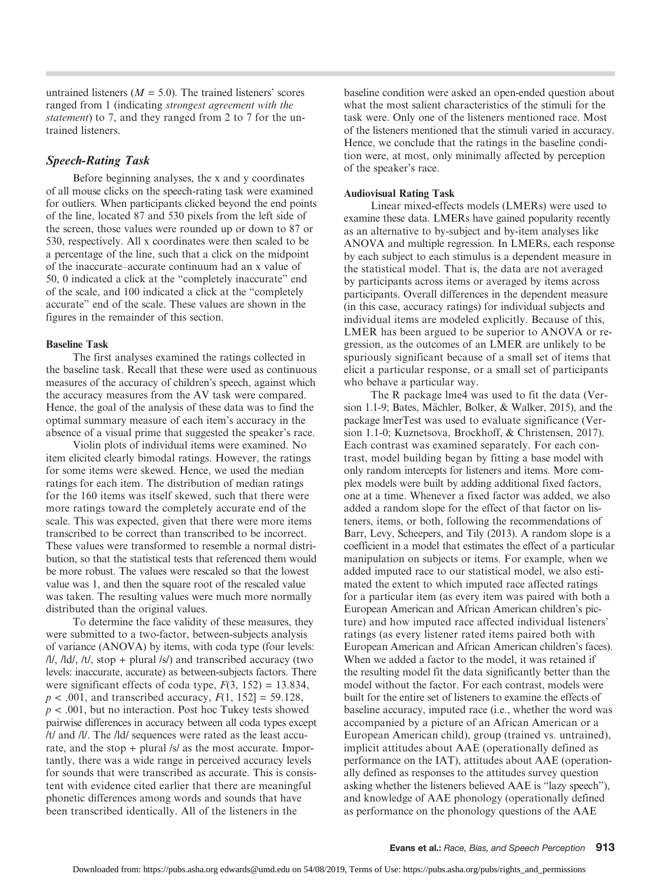untrained listeners ( $M = 5.0$ ). The trained listeners' scores ranged from 1 (indicating strongest agreement with the statement) to 7, and they ranged from 2 to 7 for the untrained listeners.

## Speech-Rating Task

Before beginning analyses, the x and y coordinates of all mouse clicks on the speech-rating task were examined for outliers. When participants clicked beyond the end points of the line, located 87 and 530 pixels from the left side of the screen, those values were rounded up or down to 87 or 530, respectively. All x coordinates were then scaled to be a percentage of the line, such that a click on the midpoint of the inaccurate–accurate continuum had an x value of 50, 0 indicated a click at the "completely inaccurate" end of the scale, and 100 indicated a click at the "completely accurate" end of the scale. These values are shown in the figures in the remainder of this section.

#### Baseline Task

The first analyses examined the ratings collected in the baseline task. Recall that these were used as continuous measures of the accuracy of children's speech, against which the accuracy measures from the AV task were compared. Hence, the goal of the analysis of these data was to find the optimal summary measure of each item's accuracy in the absence of a visual prime that suggested the speaker's race.

Violin plots of individual items were examined. No item elicited clearly bimodal ratings. However, the ratings for some items were skewed. Hence, we used the median ratings for each item. The distribution of median ratings for the 160 items was itself skewed, such that there were more ratings toward the completely accurate end of the scale. This was expected, given that there were more items transcribed to be correct than transcribed to be incorrect. These values were transformed to resemble a normal distribution, so that the statistical tests that referenced them would be more robust. The values were rescaled so that the lowest value was 1, and then the square root of the rescaled value was taken. The resulting values were much more normally distributed than the original values.

To determine the face validity of these measures, they were submitted to a two-factor, between-subjects analysis of variance (ANOVA) by items, with coda type (four levels:  $/$ l/,  $/$ ld/,  $/$ t/, stop + plural  $/s/$ ) and transcribed accuracy (two levels: inaccurate, accurate) as between-subjects factors. There were significant effects of coda type,  $F(3, 152) = 13.834$ ,  $p < .001$ , and transcribed accuracy,  $F(1, 152) = 59.128$ ,  $p < .001$ , but no interaction. Post hoc Tukey tests showed pairwise differences in accuracy between all coda types except /t/ and /l/. The /ld/ sequences were rated as the least accurate, and the stop + plural /s/ as the most accurate. Importantly, there was a wide range in perceived accuracy levels for sounds that were transcribed as accurate. This is consistent with evidence cited earlier that there are meaningful phonetic differences among words and sounds that have been transcribed identically. All of the listeners in the

baseline condition were asked an open-ended question about what the most salient characteristics of the stimuli for the task were. Only one of the listeners mentioned race. Most of the listeners mentioned that the stimuli varied in accuracy. Hence, we conclude that the ratings in the baseline condition were, at most, only minimally affected by perception of the speaker's race.

#### Audiovisual Rating Task

Linear mixed-effects models (LMERs) were used to examine these data. LMERs have gained popularity recently as an alternative to by-subject and by-item analyses like ANOVA and multiple regression. In LMERs, each response by each subject to each stimulus is a dependent measure in the statistical model. That is, the data are not averaged by participants across items or averaged by items across participants. Overall differences in the dependent measure (in this case, accuracy ratings) for individual subjects and individual items are modeled explicitly. Because of this, LMER has been argued to be superior to ANOVA or regression, as the outcomes of an LMER are unlikely to be spuriously significant because of a small set of items that elicit a particular response, or a small set of participants who behave a particular way.

The R package lme4 was used to fit the data (Version 1.1-9; Bates, Mächler, Bolker, & Walker, 2015), and the package lmerTest was used to evaluate significance (Version 1.1-0; Kuznetsova, Brockhoff, & Christensen, 2017). Each contrast was examined separately. For each contrast, model building began by fitting a base model with only random intercepts for listeners and items. More complex models were built by adding additional fixed factors, one at a time. Whenever a fixed factor was added, we also added a random slope for the effect of that factor on listeners, items, or both, following the recommendations of Barr, Levy, Scheepers, and Tily (2013). A random slope is a coefficient in a model that estimates the effect of a particular manipulation on subjects or items. For example, when we added imputed race to our statistical model, we also estimated the extent to which imputed race affected ratings for a particular item (as every item was paired with both a European American and African American children's picture) and how imputed race affected individual listeners' ratings (as every listener rated items paired both with European American and African American children's faces). When we added a factor to the model, it was retained if the resulting model fit the data significantly better than the model without the factor. For each contrast, models were built for the entire set of listeners to examine the effects of baseline accuracy, imputed race (i.e., whether the word was accompanied by a picture of an African American or a European American child), group (trained vs. untrained), implicit attitudes about AAE (operationally defined as performance on the IAT), attitudes about AAE (operationally defined as responses to the attitudes survey question asking whether the listeners believed AAE is "lazy speech"), and knowledge of AAE phonology (operationally defined as performance on the phonology questions of the AAE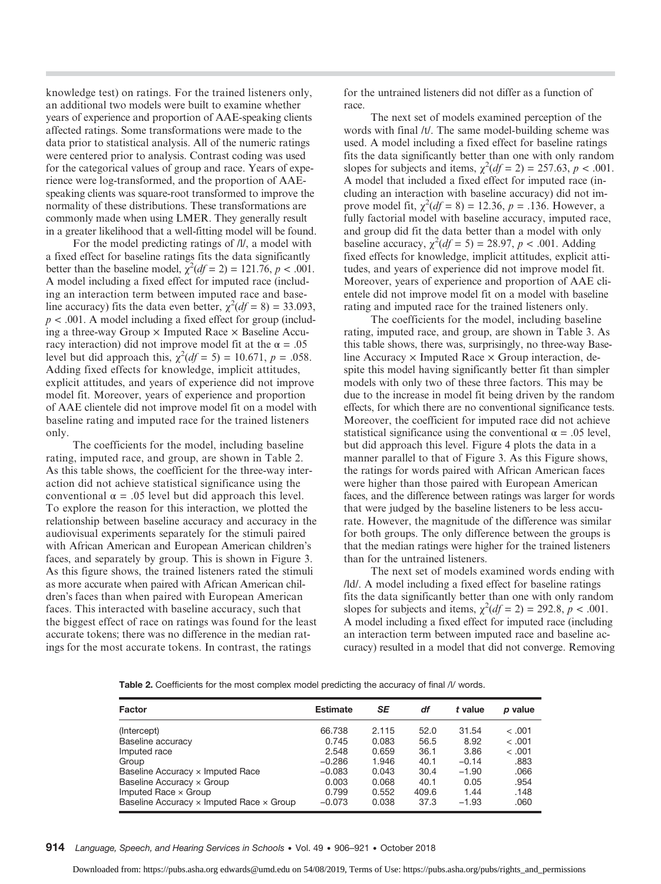knowledge test) on ratings. For the trained listeners only, an additional two models were built to examine whether years of experience and proportion of AAE-speaking clients affected ratings. Some transformations were made to the data prior to statistical analysis. All of the numeric ratings were centered prior to analysis. Contrast coding was used for the categorical values of group and race. Years of experience were log-transformed, and the proportion of AAEspeaking clients was square-root transformed to improve the normality of these distributions. These transformations are commonly made when using LMER. They generally result in a greater likelihood that a well-fitting model will be found.

For the model predicting ratings of /l/, a model with a fixed effect for baseline ratings fits the data significantly better than the baseline model,  $\chi^2(df = 2) = 121.76$ ,  $p < .001$ . A model including a fixed effect for imputed race (including an interaction term between imputed race and baseline accuracy) fits the data even better,  $\chi^2(df = 8) = 33.093$ ,  $p < .001$ . A model including a fixed effect for group (including a three-way Group  $\times$  Imputed Race  $\times$  Baseline Accuracy interaction) did not improve model fit at the  $\alpha = .05$ level but did approach this,  $\chi^2(df = 5) = 10.671$ ,  $p = .058$ . Adding fixed effects for knowledge, implicit attitudes, explicit attitudes, and years of experience did not improve model fit. Moreover, years of experience and proportion of AAE clientele did not improve model fit on a model with baseline rating and imputed race for the trained listeners only.

The coefficients for the model, including baseline rating, imputed race, and group, are shown in Table 2. As this table shows, the coefficient for the three-way interaction did not achieve statistical significance using the conventional  $\alpha = .05$  level but did approach this level. To explore the reason for this interaction, we plotted the relationship between baseline accuracy and accuracy in the audiovisual experiments separately for the stimuli paired with African American and European American children's faces, and separately by group. This is shown in Figure 3. As this figure shows, the trained listeners rated the stimuli as more accurate when paired with African American children's faces than when paired with European American faces. This interacted with baseline accuracy, such that the biggest effect of race on ratings was found for the least accurate tokens; there was no difference in the median ratings for the most accurate tokens. In contrast, the ratings

for the untrained listeners did not differ as a function of race.

The next set of models examined perception of the words with final /t/. The same model-building scheme was used. A model including a fixed effect for baseline ratings fits the data significantly better than one with only random slopes for subjects and items,  $\chi^2(df = 2) = 257.63$ ,  $p < .001$ . A model that included a fixed effect for imputed race (including an interaction with baseline accuracy) did not improve model fit,  $\chi^2(df = 8) = 12.36$ ,  $p = .136$ . However, a fully factorial model with baseline accuracy, imputed race, and group did fit the data better than a model with only baseline accuracy,  $\chi^2(df = 5) = 28.97$ ,  $p < .001$ . Adding fixed effects for knowledge, implicit attitudes, explicit attitudes, and years of experience did not improve model fit. Moreover, years of experience and proportion of AAE clientele did not improve model fit on a model with baseline rating and imputed race for the trained listeners only.

The coefficients for the model, including baseline rating, imputed race, and group, are shown in Table 3. As this table shows, there was, surprisingly, no three-way Baseline Accuracy  $\times$  Imputed Race  $\times$  Group interaction, despite this model having significantly better fit than simpler models with only two of these three factors. This may be due to the increase in model fit being driven by the random effects, for which there are no conventional significance tests. Moreover, the coefficient for imputed race did not achieve statistical significance using the conventional  $\alpha = .05$  level, but did approach this level. Figure 4 plots the data in a manner parallel to that of Figure 3. As this Figure shows, the ratings for words paired with African American faces were higher than those paired with European American faces, and the difference between ratings was larger for words that were judged by the baseline listeners to be less accurate. However, the magnitude of the difference was similar for both groups. The only difference between the groups is that the median ratings were higher for the trained listeners than for the untrained listeners.

The next set of models examined words ending with /ld/. A model including a fixed effect for baseline ratings fits the data significantly better than one with only random slopes for subjects and items,  $\chi^2(df = 2) = 292.8$ ,  $p < .001$ . A model including a fixed effect for imputed race (including an interaction term between imputed race and baseline accuracy) resulted in a model that did not converge. Removing

| Table 2. Coefficients for the most complex model predicting the accuracy of final /l/ words. |  |  |  |
|----------------------------------------------------------------------------------------------|--|--|--|
|----------------------------------------------------------------------------------------------|--|--|--|

| Factor                                   | <b>Estimate</b> | SE    | df    | t value | p value |
|------------------------------------------|-----------------|-------|-------|---------|---------|
| (Intercept)                              | 66.738          | 2.115 | 52.0  | 31.54   | < 0.01  |
| Baseline accuracy                        | 0.745           | 0.083 | 56.5  | 8.92    | < 0.01  |
| Imputed race                             | 2.548           | 0.659 | 36.1  | 3.86    | < 0.01  |
| Group                                    | $-0.286$        | 1.946 | 40.1  | $-0.14$ | .883    |
| Baseline Accuracy x Imputed Race         | $-0.083$        | 0.043 | 30.4  | $-1.90$ | .066    |
| Baseline Accuracy x Group                | 0.003           | 0.068 | 40.1  | 0.05    | .954    |
| Imputed Race x Group                     | 0.799           | 0.552 | 409.6 | 1.44    | .148    |
| Baseline Accuracy x Imputed Race x Group | $-0.073$        | 0.038 | 37.3  | $-1.93$ | .060    |

#### 914 Language, Speech, and Hearing Services in Schools • Vol. 49 • 906-921 • October 2018

Downloaded from: https://pubs.asha.org edwards@umd.edu on 54/08/2019, Terms of Use: https://pubs.asha.org/pubs/rights\_and\_permissions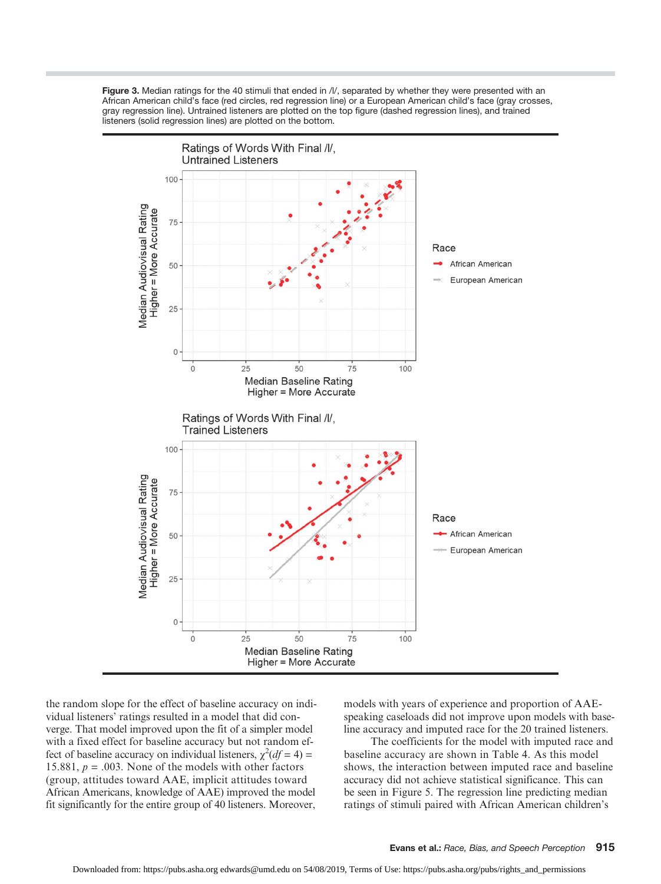Figure 3. Median ratings for the 40 stimuli that ended in  $N$ , separated by whether they were presented with an African American child's face (red circles, red regression line) or a European American child's face (gray crosses, gray regression line). Untrained listeners are plotted on the top figure (dashed regression lines), and trained listeners (solid regression lines) are plotted on the bottom.



the random slope for the effect of baseline accuracy on individual listeners' ratings resulted in a model that did converge. That model improved upon the fit of a simpler model with a fixed effect for baseline accuracy but not random effect of baseline accuracy on individual listeners,  $\chi^2(df = 4) =$ 15.881,  $p = .003$ . None of the models with other factors (group, attitudes toward AAE, implicit attitudes toward African Americans, knowledge of AAE) improved the model fit significantly for the entire group of 40 listeners. Moreover,

models with years of experience and proportion of AAEspeaking caseloads did not improve upon models with baseline accuracy and imputed race for the 20 trained listeners.

The coefficients for the model with imputed race and baseline accuracy are shown in Table 4. As this model shows, the interaction between imputed race and baseline accuracy did not achieve statistical significance. This can be seen in Figure 5. The regression line predicting median ratings of stimuli paired with African American children's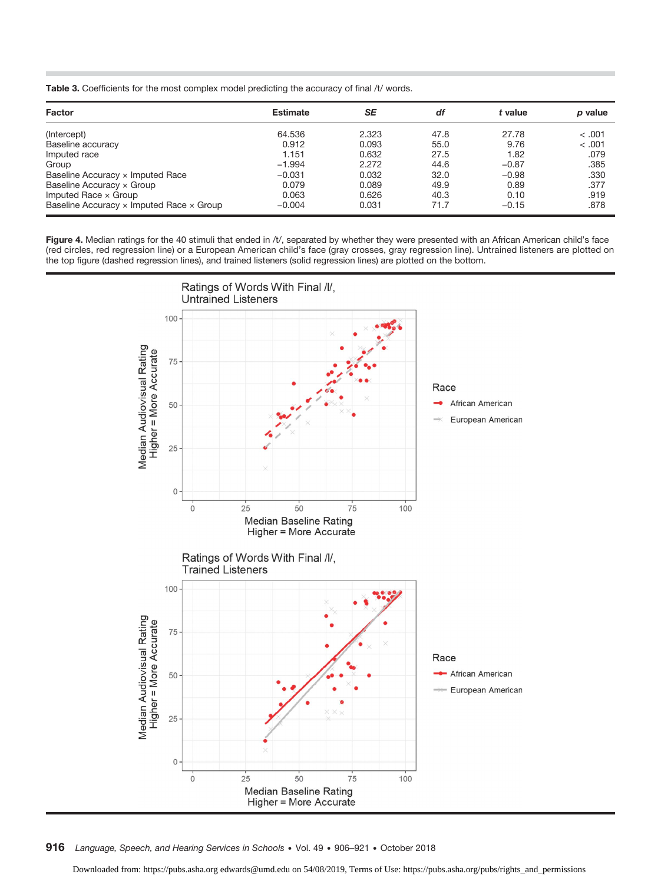Table 3. Coefficients for the most complex model predicting the accuracy of final /t/ words.

| Factor                                   | <b>Estimate</b> | SE    | df   | t value | p value |
|------------------------------------------|-----------------|-------|------|---------|---------|
| (Intercept)                              | 64.536          | 2.323 | 47.8 | 27.78   | < 0.001 |
| Baseline accuracy                        | 0.912           | 0.093 | 55.0 | 9.76    | < .001  |
| Imputed race                             | 1.151           | 0.632 | 27.5 | 1.82    | .079    |
| Group                                    | $-1.994$        | 2.272 | 44.6 | $-0.87$ | .385    |
| Baseline Accuracy x Imputed Race         | $-0.031$        | 0.032 | 32.0 | $-0.98$ | .330    |
| Baseline Accuracy x Group                | 0.079           | 0.089 | 49.9 | 0.89    | .377    |
| Imputed Race x Group                     | 0.063           | 0.626 | 40.3 | 0.10    | .919    |
| Baseline Accuracy x Imputed Race x Group | $-0.004$        | 0.031 | 71.7 | $-0.15$ | .878    |

Figure 4. Median ratings for the 40 stimuli that ended in /t/, separated by whether they were presented with an African American child's face (red circles, red regression line) or a European American child's face (gray crosses, gray regression line). Untrained listeners are plotted on the top figure (dashed regression lines), and trained listeners (solid regression lines) are plotted on the bottom.



916 Language, Speech, and Hearing Services in Schools • Vol. 49 • 906-921 • October 2018

Downloaded from: https://pubs.asha.org edwards@umd.edu on 54/08/2019, Terms of Use: https://pubs.asha.org/pubs/rights\_and\_permissions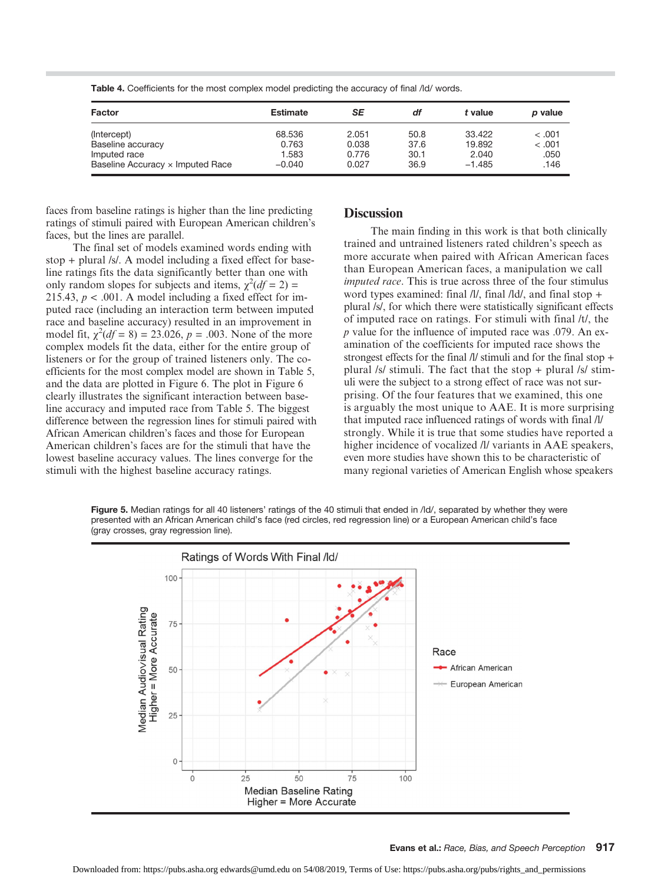| Factor                           | <b>Estimate</b> | SE    | df   | t value  | p value |
|----------------------------------|-----------------|-------|------|----------|---------|
| (Intercept)                      | 68.536          | 2.051 | 50.8 | 33.422   | < 0.01  |
| Baseline accuracy                | 0.763           | 0.038 | 37.6 | 19.892   | < 0.01  |
| Imputed race                     | 1.583           | 0.776 | 30.1 | 2.040    | .050    |
| Baseline Accuracy x Imputed Race | $-0.040$        | 0.027 | 36.9 | $-1.485$ | .146    |

Table 4. Coefficients for the most complex model predicting the accuracy of final /ld/ words.

faces from baseline ratings is higher than the line predicting ratings of stimuli paired with European American children's faces, but the lines are parallel.

The final set of models examined words ending with stop + plural /s/. A model including a fixed effect for baseline ratings fits the data significantly better than one with only random slopes for subjects and items,  $\chi^2(df = 2) =$ 215.43,  $p < .001$ . A model including a fixed effect for imputed race (including an interaction term between imputed race and baseline accuracy) resulted in an improvement in model fit,  $\chi^2(df = 8) = 23.026$ ,  $p = .003$ . None of the more complex models fit the data, either for the entire group of listeners or for the group of trained listeners only. The coefficients for the most complex model are shown in Table 5, and the data are plotted in Figure 6. The plot in Figure 6 clearly illustrates the significant interaction between baseline accuracy and imputed race from Table 5. The biggest difference between the regression lines for stimuli paired with African American children's faces and those for European American children's faces are for the stimuli that have the lowest baseline accuracy values. The lines converge for the stimuli with the highest baseline accuracy ratings.

## **Discussion**

The main finding in this work is that both clinically trained and untrained listeners rated children's speech as more accurate when paired with African American faces than European American faces, a manipulation we call imputed race. This is true across three of the four stimulus word types examined: final /l/, final /ld/, and final stop + plural /s/, for which there were statistically significant effects of imputed race on ratings. For stimuli with final /t/, the p value for the influence of imputed race was .079. An examination of the coefficients for imputed race shows the strongest effects for the final /l/ stimuli and for the final stop + plural /s/ stimuli. The fact that the stop + plural /s/ stimuli were the subject to a strong effect of race was not surprising. Of the four features that we examined, this one is arguably the most unique to AAE. It is more surprising that imputed race influenced ratings of words with final /l/ strongly. While it is true that some studies have reported a higher incidence of vocalized /l/ variants in AAE speakers, even more studies have shown this to be characteristic of many regional varieties of American English whose speakers

Figure 5. Median ratings for all 40 listeners' ratings of the 40 stimuli that ended in /ld/, separated by whether they were presented with an African American child's face (red circles, red regression line) or a European American child's face (gray crosses, gray regression line).

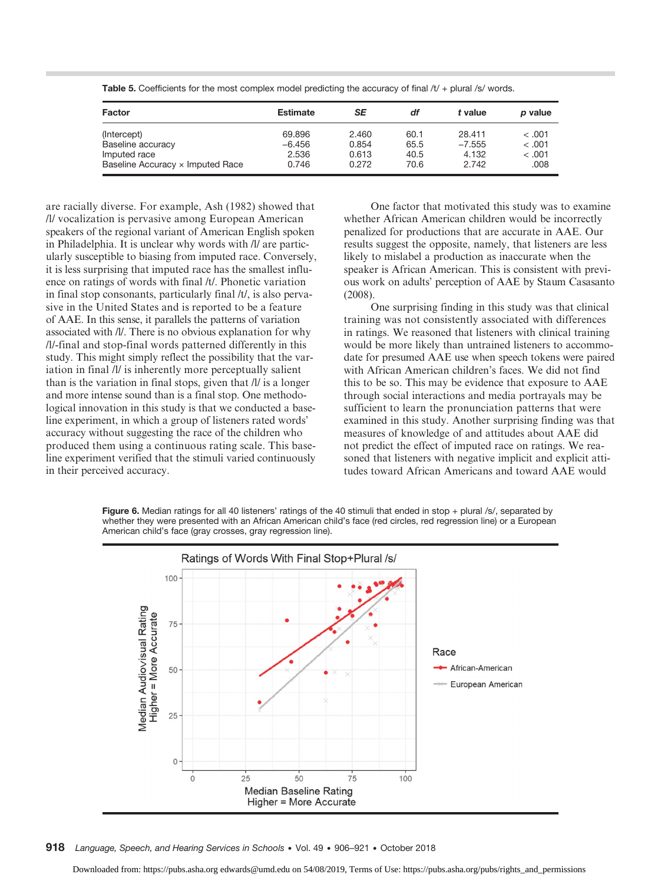| Factor                           | <b>Estimate</b> | SE    | df   | t value  | p value |
|----------------------------------|-----------------|-------|------|----------|---------|
| (Intercept)                      | 69.896          | 2.460 | 60.1 | 28.411   | < 0.01  |
| Baseline accuracy                | $-6.456$        | 0.854 | 65.5 | $-7.555$ | < 0.001 |
| Imputed race                     | 2.536           | 0.613 | 40.5 | 4.132    | < 0.01  |
| Baseline Accuracy x Imputed Race | 0.746           | 0.272 | 70.6 | 2.742    | .008    |

Table 5. Coefficients for the most complex model predicting the accuracy of final /t/ + plural /s/ words.

are racially diverse. For example, Ash (1982) showed that /l/ vocalization is pervasive among European American speakers of the regional variant of American English spoken in Philadelphia. It is unclear why words with /l/ are particularly susceptible to biasing from imputed race. Conversely, it is less surprising that imputed race has the smallest influence on ratings of words with final /t/. Phonetic variation in final stop consonants, particularly final /t/, is also pervasive in the United States and is reported to be a feature of AAE. In this sense, it parallels the patterns of variation associated with /l/. There is no obvious explanation for why /l/-final and stop-final words patterned differently in this study. This might simply reflect the possibility that the variation in final /l/ is inherently more perceptually salient than is the variation in final stops, given that /l/ is a longer and more intense sound than is a final stop. One methodological innovation in this study is that we conducted a baseline experiment, in which a group of listeners rated words' accuracy without suggesting the race of the children who produced them using a continuous rating scale. This baseline experiment verified that the stimuli varied continuously in their perceived accuracy.

One factor that motivated this study was to examine whether African American children would be incorrectly penalized for productions that are accurate in AAE. Our results suggest the opposite, namely, that listeners are less likely to mislabel a production as inaccurate when the speaker is African American. This is consistent with previous work on adults' perception of AAE by Staum Casasanto (2008).

One surprising finding in this study was that clinical training was not consistently associated with differences in ratings. We reasoned that listeners with clinical training would be more likely than untrained listeners to accommodate for presumed AAE use when speech tokens were paired with African American children's faces. We did not find this to be so. This may be evidence that exposure to AAE through social interactions and media portrayals may be sufficient to learn the pronunciation patterns that were examined in this study. Another surprising finding was that measures of knowledge of and attitudes about AAE did not predict the effect of imputed race on ratings. We reasoned that listeners with negative implicit and explicit attitudes toward African Americans and toward AAE would

Figure 6. Median ratings for all 40 listeners' ratings of the 40 stimuli that ended in stop + plural /s/, separated by whether they were presented with an African American child's face (red circles, red regression line) or a European American child's face (gray crosses, gray regression line).



918 Language, Speech, and Hearing Services in Schools • Vol. 49 • 906-921 • October 2018

Downloaded from: https://pubs.asha.org edwards@umd.edu on 54/08/2019, Terms of Use: https://pubs.asha.org/pubs/rights\_and\_permissions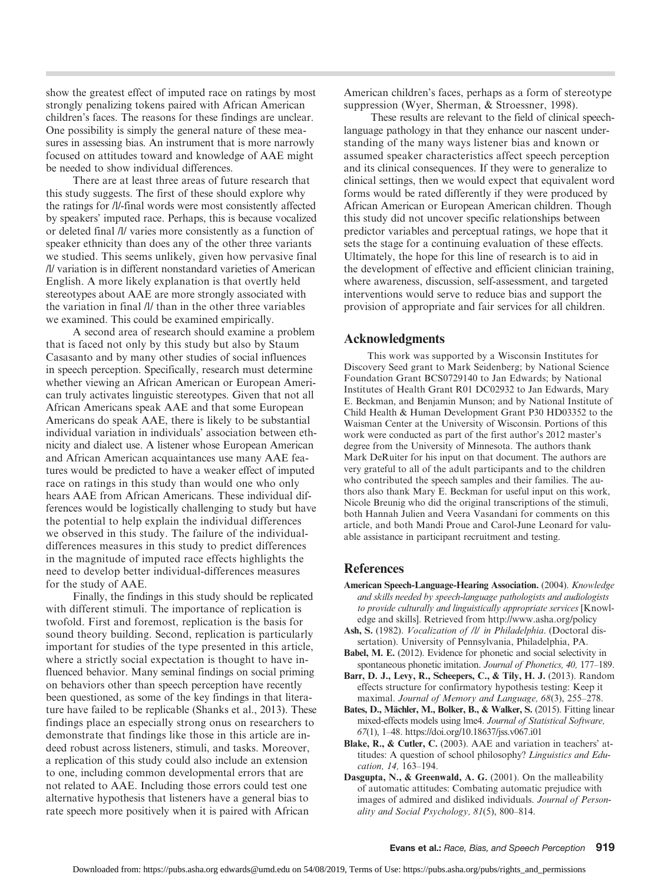show the greatest effect of imputed race on ratings by most strongly penalizing tokens paired with African American children's faces. The reasons for these findings are unclear. One possibility is simply the general nature of these measures in assessing bias. An instrument that is more narrowly focused on attitudes toward and knowledge of AAE might be needed to show individual differences.

There are at least three areas of future research that this study suggests. The first of these should explore why the ratings for /l/-final words were most consistently affected by speakers' imputed race. Perhaps, this is because vocalized or deleted final /l/ varies more consistently as a function of speaker ethnicity than does any of the other three variants we studied. This seems unlikely, given how pervasive final /l/ variation is in different nonstandard varieties of American English. A more likely explanation is that overtly held stereotypes about AAE are more strongly associated with the variation in final /l/ than in the other three variables we examined. This could be examined empirically.

A second area of research should examine a problem that is faced not only by this study but also by Staum Casasanto and by many other studies of social influences in speech perception. Specifically, research must determine whether viewing an African American or European American truly activates linguistic stereotypes. Given that not all African Americans speak AAE and that some European Americans do speak AAE, there is likely to be substantial individual variation in individuals' association between ethnicity and dialect use. A listener whose European American and African American acquaintances use many AAE features would be predicted to have a weaker effect of imputed race on ratings in this study than would one who only hears AAE from African Americans. These individual differences would be logistically challenging to study but have the potential to help explain the individual differences we observed in this study. The failure of the individualdifferences measures in this study to predict differences in the magnitude of imputed race effects highlights the need to develop better individual-differences measures for the study of AAE.

Finally, the findings in this study should be replicated with different stimuli. The importance of replication is twofold. First and foremost, replication is the basis for sound theory building. Second, replication is particularly important for studies of the type presented in this article, where a strictly social expectation is thought to have influenced behavior. Many seminal findings on social priming on behaviors other than speech perception have recently been questioned, as some of the key findings in that literature have failed to be replicable (Shanks et al., 2013). These findings place an especially strong onus on researchers to demonstrate that findings like those in this article are indeed robust across listeners, stimuli, and tasks. Moreover, a replication of this study could also include an extension to one, including common developmental errors that are not related to AAE. Including those errors could test one alternative hypothesis that listeners have a general bias to rate speech more positively when it is paired with African

American children's faces, perhaps as a form of stereotype suppression (Wyer, Sherman, & Stroessner, 1998).

These results are relevant to the field of clinical speechlanguage pathology in that they enhance our nascent understanding of the many ways listener bias and known or assumed speaker characteristics affect speech perception and its clinical consequences. If they were to generalize to clinical settings, then we would expect that equivalent word forms would be rated differently if they were produced by African American or European American children. Though this study did not uncover specific relationships between predictor variables and perceptual ratings, we hope that it sets the stage for a continuing evaluation of these effects. Ultimately, the hope for this line of research is to aid in the development of effective and efficient clinician training, where awareness, discussion, self-assessment, and targeted interventions would serve to reduce bias and support the provision of appropriate and fair services for all children.

## Acknowledgments

This work was supported by a Wisconsin Institutes for Discovery Seed grant to Mark Seidenberg; by National Science Foundation Grant BCS0729140 to Jan Edwards; by National Institutes of Health Grant R01 DC02932 to Jan Edwards, Mary E. Beckman, and Benjamin Munson; and by National Institute of Child Health & Human Development Grant P30 HD03352 to the Waisman Center at the University of Wisconsin. Portions of this work were conducted as part of the first author's 2012 master's degree from the University of Minnesota. The authors thank Mark DeRuiter for his input on that document. The authors are very grateful to all of the adult participants and to the children who contributed the speech samples and their families. The authors also thank Mary E. Beckman for useful input on this work, Nicole Breunig who did the original transcriptions of the stimuli, both Hannah Julien and Veera Vasandani for comments on this article, and both Mandi Proue and Carol-June Leonard for valuable assistance in participant recruitment and testing.

## References

- American Speech-Language-Hearing Association. (2004). Knowledge and skills needed by speech-language pathologists and audiologists to provide culturally and linguistically appropriate services [Knowledge and skills]. Retrieved from<http://www.asha.org/policy>
- Ash, S. (1982). *Vocalization of /l/ in Philadelphia*. (Doctoral dissertation). University of Pennsylvania, Philadelphia, PA.
- Babel, M. E. (2012). Evidence for phonetic and social selectivity in spontaneous phonetic imitation. Journal of Phonetics, 40, 177–189.
- Barr, D. J., Levy, R., Scheepers, C., & Tily, H. J. (2013). Random effects structure for confirmatory hypothesis testing: Keep it maximal. Journal of Memory and Language, 68(3), 255-278.
- Bates, D., Mächler, M., Bolker, B., & Walker, S. (2015). Fitting linear mixed-effects models using lme4. Journal of Statistical Software, 67(1), 1–48.<https://doi.org/10.18637/jss.v067.i01>
- Blake, R., & Cutler, C. (2003). AAE and variation in teachers' attitudes: A question of school philosophy? Linguistics and Education, 14, 163–194.
- Dasgupta, N., & Greenwald, A. G. (2001). On the malleability of automatic attitudes: Combating automatic prejudice with images of admired and disliked individuals. Journal of Personality and Social Psychology, 81(5), 800–814.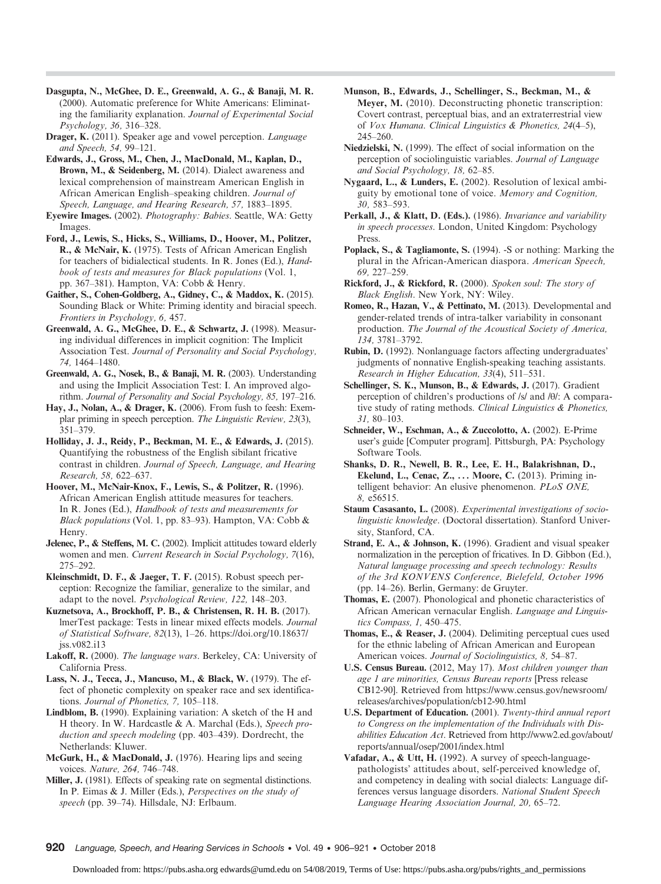- Dasgupta, N., McGhee, D. E., Greenwald, A. G., & Banaji, M. R. (2000). Automatic preference for White Americans: Eliminating the familiarity explanation. Journal of Experimental Social Psychology, 36, 316–328.
- Drager, K. (2011). Speaker age and vowel perception. Language and Speech, 54, 99–121.
- Edwards, J., Gross, M., Chen, J., MacDonald, M., Kaplan, D., Brown, M., & Seidenberg, M. (2014). Dialect awareness and lexical comprehension of mainstream American English in African American English–speaking children. Journal of Speech, Language, and Hearing Research, 57, 1883–1895.
- Eyewire Images. (2002). Photography: Babies. Seattle, WA: Getty Images.
- Ford, J., Lewis, S., Hicks, S., Williams, D., Hoover, M., Politzer, R., & McNair, K. (1975). Tests of African American English for teachers of bidialectical students. In R. Jones (Ed.), Handbook of tests and measures for Black populations (Vol. 1, pp. 367–381). Hampton, VA: Cobb & Henry.
- Gaither, S., Cohen-Goldberg, A., Gidney, C., & Maddox, K. (2015). Sounding Black or White: Priming identity and biracial speech. Frontiers in Psychology, 6, 457.
- Greenwald, A. G., McGhee, D. E., & Schwartz, J. (1998). Measuring individual differences in implicit cognition: The Implicit Association Test. Journal of Personality and Social Psychology, 74, 1464–1480.
- Greenwald, A. G., Nosek, B., & Banaji, M. R. (2003). Understanding and using the Implicit Association Test: I. An improved algorithm. Journal of Personality and Social Psychology, 85, 197–216.
- Hay, J., Nolan, A., & Drager, K. (2006). From fush to feesh: Exemplar priming in speech perception. The Linguistic Review, 23(3), 351–379.
- Holliday, J. J., Reidy, P., Beckman, M. E., & Edwards, J. (2015). Quantifying the robustness of the English sibilant fricative contrast in children. Journal of Speech, Language, and Hearing Research, 58, 622–637.
- Hoover, M., McNair-Knox, F., Lewis, S., & Politzer, R. (1996). African American English attitude measures for teachers. In R. Jones (Ed.), Handbook of tests and measurements for Black populations (Vol. 1, pp. 83–93). Hampton, VA: Cobb & Henry.
- Jelenec, P., & Steffens, M. C. (2002). Implicit attitudes toward elderly women and men. Current Research in Social Psychology, 7(16), 275–292.
- Kleinschmidt, D. F., & Jaeger, T. F. (2015). Robust speech perception: Recognize the familiar, generalize to the similar, and adapt to the novel. Psychological Review, 122, 148–203.
- Kuznetsova, A., Brockhoff, P. B., & Christensen, R. H. B. (2017). lmerTest package: Tests in linear mixed effects models. Journal of Statistical Software, 82(13), 1–26. [https://doi.org/10.18637/](https://doi.org/10.18637/jss.v082.i13) [jss.v082.i13](https://doi.org/10.18637/jss.v082.i13)
- Lakoff, R. (2000). The language wars. Berkeley, CA: University of California Press.
- Lass, N. J., Tecca, J., Mancuso, M., & Black, W. (1979). The effect of phonetic complexity on speaker race and sex identifications. Journal of Phonetics, 7, 105–118.
- Lindblom, B. (1990). Explaining variation: A sketch of the H and H theory. In W. Hardcastle & A. Marchal (Eds.), Speech production and speech modeling (pp. 403–439). Dordrecht, the Netherlands: Kluwer.
- McGurk, H., & MacDonald, J. (1976). Hearing lips and seeing voices. Nature, 264, 746–748.
- Miller, J. (1981). Effects of speaking rate on segmental distinctions. In P. Eimas & J. Miller (Eds.), Perspectives on the study of speech (pp. 39–74). Hillsdale, NJ: Erlbaum.
- Munson, B., Edwards, J., Schellinger, S., Beckman, M., & Meyer, M. (2010). Deconstructing phonetic transcription: Covert contrast, perceptual bias, and an extraterrestrial view of Vox Humana. Clinical Linguistics & Phonetics, 24(4–5), 245–260.
- Niedzielski, N. (1999). The effect of social information on the perception of sociolinguistic variables. Journal of Language and Social Psychology, 18, 62–85.
- Nygaard, L., & Lunders, E. (2002). Resolution of lexical ambiguity by emotional tone of voice. Memory and Cognition, 30, 583–593.
- Perkall, J., & Klatt, D. (Eds.). (1986). Invariance and variability in speech processes. London, United Kingdom: Psychology Press.
- Poplack, S., & Tagliamonte, S. (1994). -S or nothing: Marking the plural in the African-American diaspora. American Speech, 69, 227–259.
- Rickford, J., & Rickford, R. (2000). Spoken soul: The story of Black English. New York, NY: Wiley.
- Romeo, R., Hazan, V., & Pettinato, M. (2013). Developmental and gender-related trends of intra-talker variability in consonant production. The Journal of the Acoustical Society of America, 134, 3781–3792.
- Rubin, D. (1992). Nonlanguage factors affecting undergraduates' judgments of nonnative English-speaking teaching assistants. Research in Higher Education, 33(4), 511–531.
- Schellinger, S. K., Munson, B., & Edwards, J. (2017). Gradient perception of children's productions of /s/ and /θ/: A comparative study of rating methods. Clinical Linguistics & Phonetics, 31, 80–103.
- Schneider, W., Eschman, A., & Zuccolotto, A. (2002). E-Prime user's guide [Computer program]. Pittsburgh, PA: Psychology Software Tools.
- Shanks, D. R., Newell, B. R., Lee, E. H., Balakrishnan, D., Ekelund, L., Cenac, Z., ... Moore, C. (2013). Priming intelligent behavior: An elusive phenomenon. PLoS ONE, 8, e56515.
- Staum Casasanto, L. (2008). Experimental investigations of sociolinguistic knowledge. (Doctoral dissertation). Stanford University, Stanford, CA.
- Strand, E. A., & Johnson, K. (1996). Gradient and visual speaker normalization in the perception of fricatives. In D. Gibbon (Ed.), Natural language processing and speech technology: Results of the 3rd KONVENS Conference, Bielefeld, October 1996 (pp. 14–26). Berlin, Germany: de Gruyter.
- Thomas, E. (2007). Phonological and phonetic characteristics of African American vernacular English. Language and Linguistics Compass, 1, 450–475.
- Thomas, E., & Reaser, J. (2004). Delimiting perceptual cues used for the ethnic labeling of African American and European American voices. Journal of Sociolinguistics, 8, 54–87.
- U.S. Census Bureau. (2012, May 17). Most children younger than age 1 are minorities, Census Bureau reports [Press release CB12-90]. Retrieved from [https://www.census.gov/newsroom/](https://www.census.gov/newsroom/releases/archives/population/cb12-90.html) [releases/archives/population/cb12-90.html](https://www.census.gov/newsroom/releases/archives/population/cb12-90.html)
- U.S. Department of Education. (2001). Twenty-third annual report to Congress on the implementation of the Individuals with Disabilities Education Act. Retrieved from [http://www2.ed.gov/about/](http://www2.ed.gov/about/reports/annual/osep/2001/index.html) [reports/annual/osep/2001/index.html](http://www2.ed.gov/about/reports/annual/osep/2001/index.html)
- Vafadar, A., & Utt, H. (1992). A survey of speech-languagepathologists' attitudes about, self-perceived knowledge of, and competency in dealing with social dialects: Language differences versus language disorders. National Student Speech Language Hearing Association Journal, 20, 65–72.